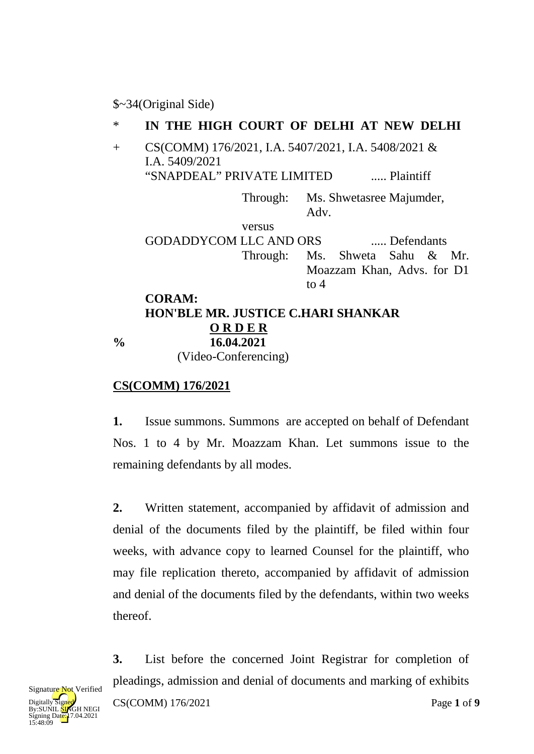### \$~34(Original Side)

#### \* **IN THE HIGH COURT OF DELHI AT NEW DELHI**

+ CS(COMM) 176/2021, I.A. 5407/2021, I.A. 5408/2021 & I.A. 5409/2021 "SNAPDEAL" PRIVATE LIMITED ..... Plaintiff

> Through: Ms. Shwetasree Majumder, Adv.

versus GODADDYCOM LLC AND ORS ..... Defendants Through: Ms. Shweta Sahu & Mr. Moazzam Khan, Advs. for D1 to 4

### **CORAM: HON'BLE MR. JUSTICE C.HARI SHANKAR O R D E R % 16.04.2021** (Video-Conferencing)

## **CS(COMM) 176/2021**

**1.** Issue summons. Summons are accepted on behalf of Defendant Nos. 1 to 4 by Mr. Moazzam Khan. Let summons issue to the remaining defendants by all modes.

**2.** Written statement, accompanied by affidavit of admission and denial of the documents filed by the plaintiff, be filed within four weeks, with advance copy to learned Counsel for the plaintiff, who may file replication thereto, accompanied by affidavit of admission and denial of the documents filed by the defendants, within two weeks thereof.

**3.** List before the concerned Joint Registrar for completion of pleadings, admission and denial of documents and marking of exhibits

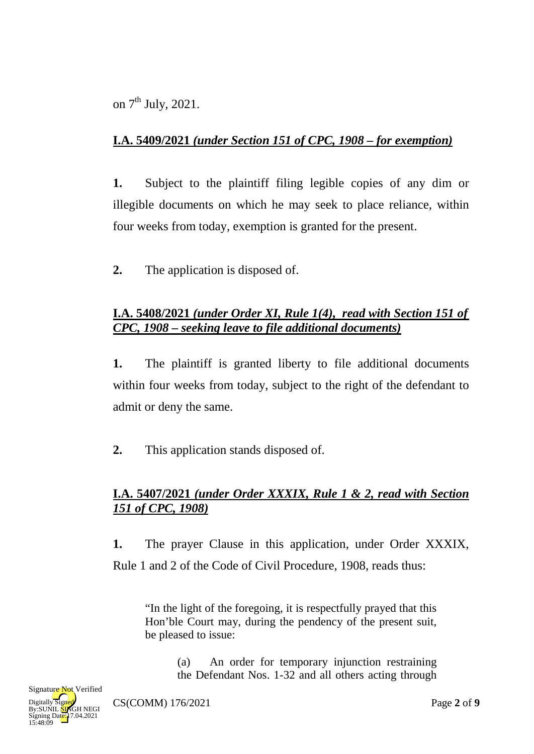on  $7<sup>th</sup>$  July, 2021.

# **I.A. 5409/2021** *(under Section 151 of CPC, 1908 – for exemption)*

**1.** Subject to the plaintiff filing legible copies of any dim or illegible documents on which he may seek to place reliance, within four weeks from today, exemption is granted for the present.

**2.** The application is disposed of.

## **I.A. 5408/2021** *(under Order XI, Rule 1(4), read with Section 151 of CPC, 1908 – seeking leave to file additional documents)*

**1.** The plaintiff is granted liberty to file additional documents within four weeks from today, subject to the right of the defendant to admit or deny the same.

**2.** This application stands disposed of.

# **I.A. 5407/2021** *(under Order XXXIX, Rule 1 & 2, read with Section 151 of CPC, 1908)*

**1.** The prayer Clause in this application, under Order XXXIX, Rule 1 and 2 of the Code of Civil Procedure, 1908, reads thus:

"In the light of the foregoing, it is respectfully prayed that this Hon'ble Court may, during the pendency of the present suit, be pleased to issue:

> (a) An order for temporary injunction restraining the Defendant Nos. 1-32 and all others acting through

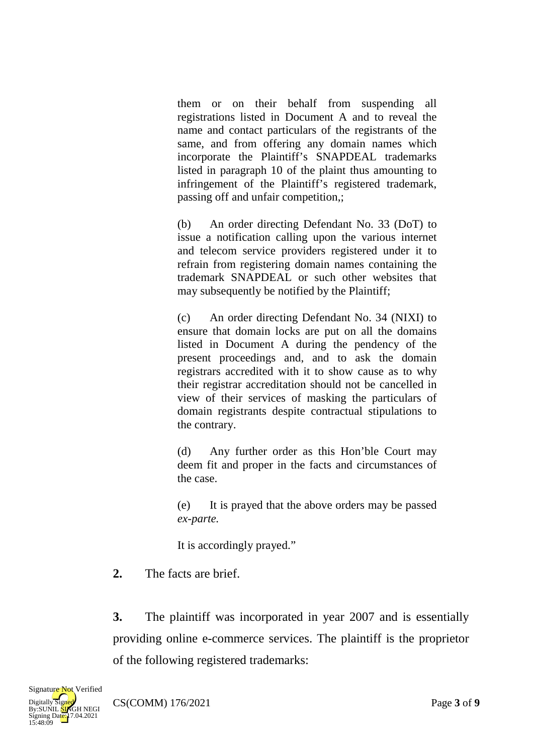them or on their behalf from suspending all registrations listed in Document A and to reveal the name and contact particulars of the registrants of the same, and from offering any domain names which incorporate the Plaintiff's SNAPDEAL trademarks listed in paragraph 10 of the plaint thus amounting to infringement of the Plaintiff's registered trademark, passing off and unfair competition,;

(b) An order directing Defendant No. 33 (DoT) to issue a notification calling upon the various internet and telecom service providers registered under it to refrain from registering domain names containing the trademark SNAPDEAL or such other websites that may subsequently be notified by the Plaintiff;

(c) An order directing Defendant No. 34 (NIXI) to ensure that domain locks are put on all the domains listed in Document A during the pendency of the present proceedings and, and to ask the domain registrars accredited with it to show cause as to why their registrar accreditation should not be cancelled in view of their services of masking the particulars of domain registrants despite contractual stipulations to the contrary.

(d) Any further order as this Hon'ble Court may deem fit and proper in the facts and circumstances of the case.

(e) It is prayed that the above orders may be passed *ex-parte.*

It is accordingly prayed."

**2.** The facts are brief.

**3.** The plaintiff was incorporated in year 2007 and is essentially providing online e-commerce services. The plaintiff is the proprietor of the following registered trademarks: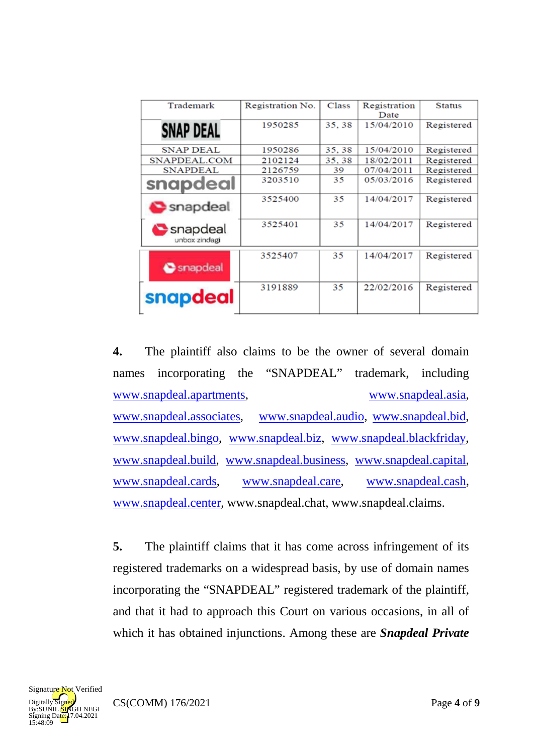| Trademark                 | Registration No. | Class | Registration<br>Date | <b>Status</b> |
|---------------------------|------------------|-------|----------------------|---------------|
| <b>SNAP DEAL</b>          | 1950285          | 35.38 | 15/04/2010           | Registered    |
| <b>SNAP DEAL</b>          | 1950286          | 35.38 | 15/04/2010           | Registered    |
| SNAPDEAL.COM              | 2102124          | 35.38 | 18/02/2011           | Registered    |
| <b>SNAPDEAL</b>           | 2126759          | 39    | 07/04/2011           | Registered    |
| snapdeal                  | 3203510          | 35    | 05/03/2016           | Registered    |
| snapdeal                  | 3525400          | 35    | 14/04/2017           | Registered    |
| Snapdeal<br>unbox zindagi | 3525401          | 35    | 14/04/2017           | Registered    |
| Snapdeal                  | 3525407          | 35    | 14/04/2017           | Registered    |
| snapdeal                  | 3191889          | 35    | 22/02/2016           | Registered    |

**4.** The plaintiff also claims to be the owner of several domain names incorporating the "SNAPDEAL" trademark, including [www.snapdeal.apartments,](http://www.snapdeal.apartments/) [www.snapdeal.asia,](http://www.snapdeal.asia/) [www.snapdeal.associates,](http://www.snapdeal.associates/) [www.snapdeal.audio,](http://www.snapdeal.audio/) [www.snapdeal.bid,](http://www.snapdeal.bid/) [www.snapdeal.bingo,](http://www.snapdeal.bingo/) [www.snapdeal.biz,](http://www.snapdeal.biz/) [www.snapdeal.blackfriday,](http://www.snapdeal.blackfriday/) [www.snapdeal.build,](http://www.snapdeal.build/) [www.snapdeal.business,](http://www.snapdeal.business/) [www.snapdeal.capital,](http://www.snapdeal.capital/) [www.snapdeal.cards,](http://www.snapdeal.cards/) [www.snapdeal.care,](http://www.snapdeal.care/) [www.snapdeal.cash,](http://www.snapdeal.cash/) [www.snapdeal.center,](http://www.snapdeal.center/) www.snapdeal.chat, www.snapdeal.claims.

**5.** The plaintiff claims that it has come across infringement of its registered trademarks on a widespread basis, by use of domain names incorporating the "SNAPDEAL" registered trademark of the plaintiff, and that it had to approach this Court on various occasions, in all of which it has obtained injunctions. Among these are *Snapdeal Private* 

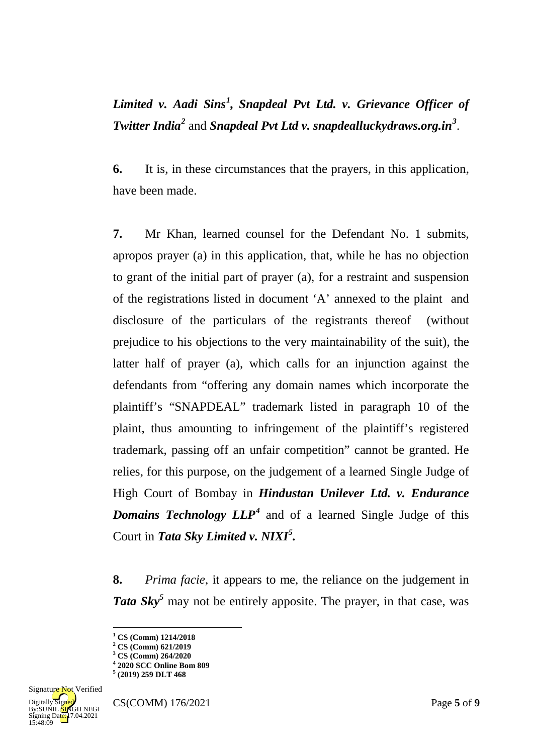# *Limited v. Aadi Sins[1](#page-4-0) , Snapdeal Pvt Ltd. v. Grievance Officer of Twitter India[2](#page-4-1)* and *Snapdeal Pvt Ltd v. snapdealluckydraws.org.in[3](#page-4-2)* .

**6.** It is, in these circumstances that the prayers, in this application, have been made.

**7.** Mr Khan, learned counsel for the Defendant No. 1 submits, apropos prayer (a) in this application, that, while he has no objection to grant of the initial part of prayer (a), for a restraint and suspension of the registrations listed in document 'A' annexed to the plaint and disclosure of the particulars of the registrants thereof (without prejudice to his objections to the very maintainability of the suit), the latter half of prayer (a), which calls for an injunction against the defendants from "offering any domain names which incorporate the plaintiff's "SNAPDEAL" trademark listed in paragraph 10 of the plaint, thus amounting to infringement of the plaintiff's registered trademark, passing off an unfair competition" cannot be granted. He relies, for this purpose, on the judgement of a learned Single Judge of High Court of Bombay in *Hindustan Unilever Ltd. v. Endurance Domains Technology LLP[4](#page-4-3)* and of a learned Single Judge of this Court in *Tata Sky Limited v. NIXI[5](#page-4-4) .*

**8.** *Prima facie*, it appears to me, the reliance on the judgement in Tata Sky<sup>5</sup> may not be entirely apposite. The prayer, in that case, was

<u>.</u>

<span id="page-4-4"></span><span id="page-4-3"></span><span id="page-4-2"></span><span id="page-4-1"></span><span id="page-4-0"></span>**<sup>5</sup> (2019) 259 DLT 468**



**<sup>1</sup> CS (Comm) 1214/2018**

**<sup>2</sup> CS (Comm) 621/2019**

**<sup>3</sup> CS (Comm) 264/2020**

**<sup>4</sup> 2020 SCC Online Bom 809**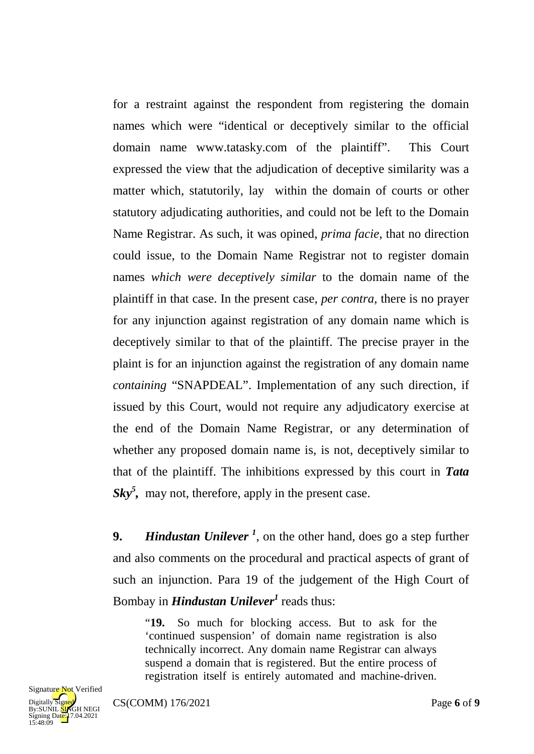for a restraint against the respondent from registering the domain names which were "identical or deceptively similar to the official domain name www.tatasky.com of the plaintiff". This Court expressed the view that the adjudication of deceptive similarity was a matter which, statutorily, lay within the domain of courts or other statutory adjudicating authorities, and could not be left to the Domain Name Registrar. As such, it was opined, *prima facie*, that no direction could issue, to the Domain Name Registrar not to register domain names *which were deceptively similar* to the domain name of the plaintiff in that case. In the present case, *per contra*, there is no prayer for any injunction against registration of any domain name which is deceptively similar to that of the plaintiff. The precise prayer in the plaint is for an injunction against the registration of any domain name *containing* "SNAPDEAL". Implementation of any such direction, if issued by this Court, would not require any adjudicatory exercise at the end of the Domain Name Registrar, or any determination of whether any proposed domain name is, is not, deceptively similar to that of the plaintiff. The inhibitions expressed by this court in *Tata*  Sky<sup>5</sup>, may not, therefore, apply in the present case.

**9.** *Hindustan Unilever*<sup>1</sup>, on the other hand, does go a step further and also comments on the procedural and practical aspects of grant of such an injunction. Para 19 of the judgement of the High Court of Bombay in *Hindustan Unilever<sup>1</sup>* reads thus:

"**19.** So much for blocking access. But to ask for the 'continued suspension' of domain name registration is also technically incorrect. Any domain name Registrar can always suspend a domain that is registered. But the entire process of registration itself is entirely automated and machine-driven.

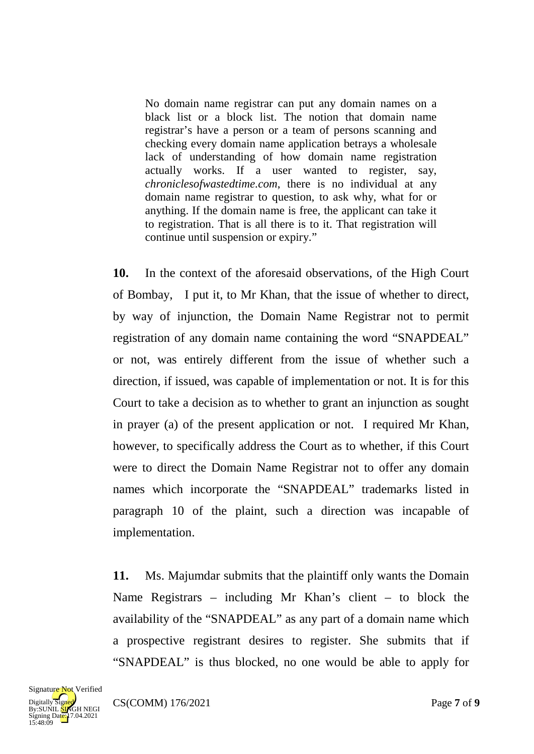No domain name registrar can put any domain names on a black list or a block list. The notion that domain name registrar's have a person or a team of persons scanning and checking every domain name application betrays a wholesale lack of understanding of how domain name registration actually works. If a user wanted to register, say, *chroniclesofwastedtime.com*, there is no individual at any domain name registrar to question, to ask why, what for or anything. If the domain name is free, the applicant can take it to registration. That is all there is to it. That registration will continue until suspension or expiry."

**10.** In the context of the aforesaid observations, of the High Court of Bombay, I put it, to Mr Khan, that the issue of whether to direct, by way of injunction, the Domain Name Registrar not to permit registration of any domain name containing the word "SNAPDEAL" or not, was entirely different from the issue of whether such a direction, if issued, was capable of implementation or not. It is for this Court to take a decision as to whether to grant an injunction as sought in prayer (a) of the present application or not. I required Mr Khan, however, to specifically address the Court as to whether, if this Court were to direct the Domain Name Registrar not to offer any domain names which incorporate the "SNAPDEAL" trademarks listed in paragraph 10 of the plaint, such a direction was incapable of implementation.

**11.** Ms. Majumdar submits that the plaintiff only wants the Domain Name Registrars – including Mr Khan's client – to block the availability of the "SNAPDEAL" as any part of a domain name which a prospective registrant desires to register. She submits that if "SNAPDEAL" is thus blocked, no one would be able to apply for

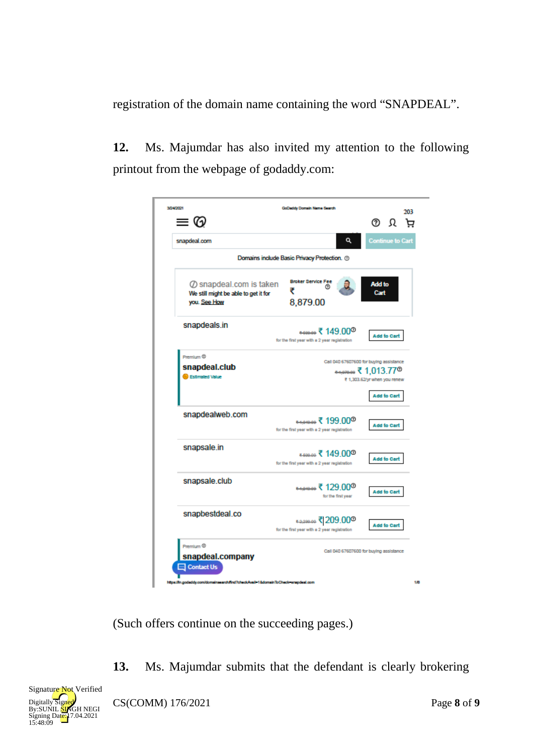registration of the domain name containing the word "SNAPDEAL".

**12.** Ms. Majumdar has also invited my attention to the following printout from the webpage of godaddy.com:

| 3/24/2021                                                                               | GoDaddy Domain Name Search                                                               |                                                                                        |
|-----------------------------------------------------------------------------------------|------------------------------------------------------------------------------------------|----------------------------------------------------------------------------------------|
| $\equiv$ $\textcircled{\scriptsize{2}}$                                                 |                                                                                          | 203<br>© Ω ਖ਼                                                                          |
| snapdeal.com                                                                            | Q                                                                                        | <b>Continue to Cart</b>                                                                |
|                                                                                         | Domains include Basic Privacy Protection. ®                                              |                                                                                        |
| $\oslash$ snapdeal.com is taken<br>We still might be able to get it for<br>you. See How | <b>Broker Service Fee</b><br>₹<br>8,879.00                                               | <b>Add to</b><br>Cart                                                                  |
| snapdeals.in                                                                            | •‱∉ ₹ 149,00 <sup>®</sup><br>for the first year with a 2 year registration               | Add to Cart                                                                            |
| Premium ®<br>snapdeal.club<br><b>B</b> Estimated Value                                  |                                                                                          | Call 040 67607600 for buying assistance<br>₹ 1,303.62/yr when you renew<br>Add to Cart |
| snapdealweb.com                                                                         | <del>******</del> ₹ 199.00 <sup>®</sup><br>for the first year with a 2 year registration | Add to Cart                                                                            |
| snapsale.in                                                                             | ≖‱∞₹ 149.00 <sup>◎</sup><br>for the first year with a 2 year registration                | Add to Cart                                                                            |
| snapsale.club                                                                           | 129,00 <sup>®</sup> ≢ موسوم<br>for the first year                                        | Add to Cart                                                                            |
| snapbestdeal.co                                                                         | for the first year with a 2 year registration                                            | Add to Cart                                                                            |
| Premium ®<br>snapdeal.company<br><b>Q</b> Contact Us                                    | https://in.godaddy.com/domainasarch/ind?check/wall-1&domainToCheck-enepdeal.com          | Call 040 67607600 for buying assistance                                                |

(Such offers continue on the succeeding pages.)

**13.** Ms. Majumdar submits that the defendant is clearly brokering



CS(COMM) 176/2021 Page **8** of **9**